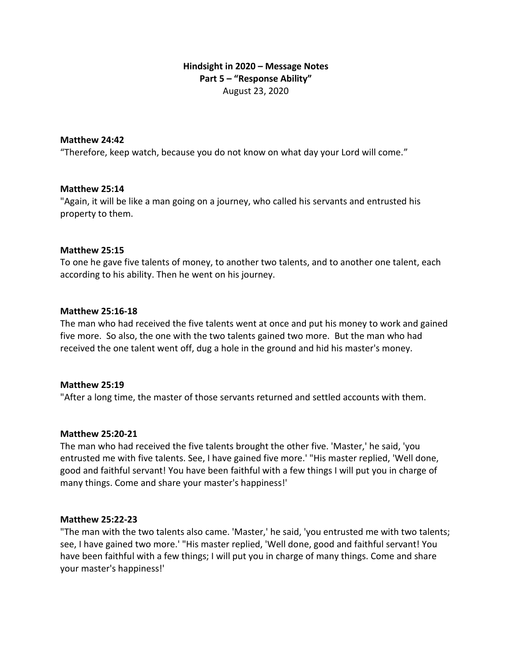# **Hindsight in 2020 – Message Notes Part 5 – "Response Ability"** August 23, 2020

### **Matthew 24:42**

"Therefore, keep watch, because you do not know on what day your Lord will come."

#### **Matthew 25:14**

"Again, it will be like a man going on a journey, who called his servants and entrusted his property to them.

#### **Matthew 25:15**

To one he gave five talents of money, to another two talents, and to another one talent, each according to his ability. Then he went on his journey.

#### **Matthew 25:16-18**

The man who had received the five talents went at once and put his money to work and gained five more. So also, the one with the two talents gained two more. But the man who had received the one talent went off, dug a hole in the ground and hid his master's money.

#### **Matthew 25:19**

"After a long time, the master of those servants returned and settled accounts with them.

#### **Matthew 25:20-21**

The man who had received the five talents brought the other five. 'Master,' he said, 'you entrusted me with five talents. See, I have gained five more.' "His master replied, 'Well done, good and faithful servant! You have been faithful with a few things I will put you in charge of many things. Come and share your master's happiness!'

#### **Matthew 25:22-23**

"The man with the two talents also came. 'Master,' he said, 'you entrusted me with two talents; see, I have gained two more.' "His master replied, 'Well done, good and faithful servant! You have been faithful with a few things; I will put you in charge of many things. Come and share your master's happiness!'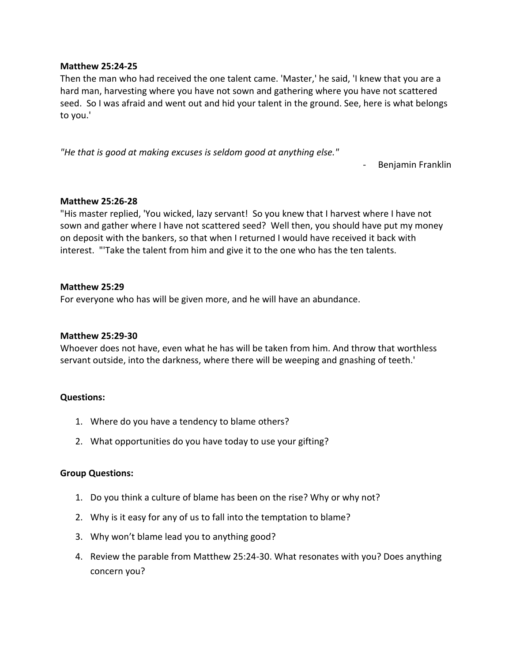### **Matthew 25:24-25**

Then the man who had received the one talent came. 'Master,' he said, 'I knew that you are a hard man, harvesting where you have not sown and gathering where you have not scattered seed. So I was afraid and went out and hid your talent in the ground. See, here is what belongs to you.'

*"He that is good at making excuses is seldom good at anything else."* 

- Benjamin Franklin

## **Matthew 25:26-28**

"His master replied, 'You wicked, lazy servant! So you knew that I harvest where I have not sown and gather where I have not scattered seed? Well then, you should have put my money on deposit with the bankers, so that when I returned I would have received it back with interest. "'Take the talent from him and give it to the one who has the ten talents.

### **Matthew 25:29**

For everyone who has will be given more, and he will have an abundance.

## **Matthew 25:29-30**

Whoever does not have, even what he has will be taken from him. And throw that worthless servant outside, into the darkness, where there will be weeping and gnashing of teeth.'

## **Questions:**

- 1. Where do you have a tendency to blame others?
- 2. What opportunities do you have today to use your gifting?

### **Group Questions:**

- 1. Do you think a culture of blame has been on the rise? Why or why not?
- 2. Why is it easy for any of us to fall into the temptation to blame?
- 3. Why won't blame lead you to anything good?
- 4. Review the parable from Matthew 25:24-30. What resonates with you? Does anything concern you?